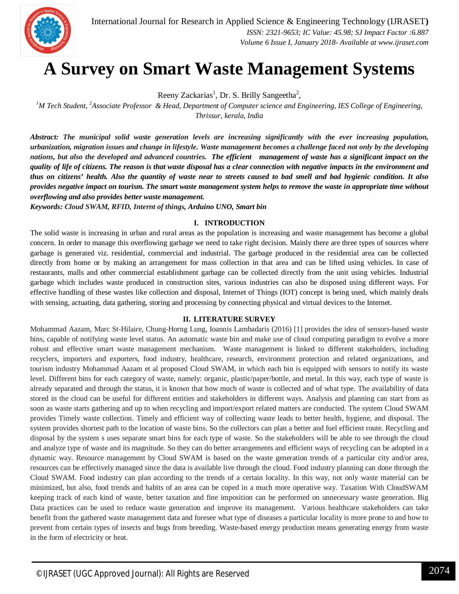

# **A Survey on Smart Waste Management Systems**

Reeny Zackarias<sup>1</sup>, Dr. S. Brilly Sangeetha<sup>2</sup>,

*<sup>1</sup>M Tech Student, <sup>2</sup>Associate Professor & Head, Department of Computer science and Engineering, IES College of Engineering, Thrissur, kerala, India*

*Abstract: The municipal solid waste generation levels are increasing significantly with the ever increasing population, urbanization, migration issues and change in lifestyle. Waste management becomes a challenge faced not only by the developing nations, but also the developed and advanced countries. The efficient management of waste has a significant impact on the quality of life of citizens. The reason is that waste disposal has a clear connection with negative impacts in the environment and thus on citizens' health. Also the quantity of waste near to streets caused to bad smell and bad hygienic condition. It also provides negative impact on tourism. The smart waste management system helps to remove the waste in appropriate time without overflowing and also provides better waste management.*

*Keywords: Cloud SWAM, RFID, Internt of things, Arduino UNO, Smart bin*

## **I. INTRODUCTION**

The solid waste is increasing in urban and rural areas as the population is increasing and waste management has become a global concern. In order to manage this overflowing garbage we need to take right decision. Mainly there are three types of sources where garbage is generated viz. residential, commercial and industrial. The garbage produced in the residential area can be collected directly from home or by making an arrangement for mass collection in that area and can be lifted using vehicles. In case of restaurants, malls and other commercial establishment garbage can be collected directly from the unit using vehicles. Industrial garbage which includes waste produced in construction sites, various industries can also be disposed using different ways. For effective handling of these wastes like collection and disposal, Internet of Things (IOT) concept is being used, which mainly deals with sensing, actuating, data gathering, storing and processing by connecting physical and virtual devices to the Internet.

### **II. LITERATURE SURVEY**

Mohammad Aazam, Marc St-Hilaire, Chung-Horng Lung, Ioannis Lambadaris (2016) [1] provides the idea of sensors-based waste bins, capable of notifying waste level status. An automatic waste bin and make use of cloud computing paradigm to evolve a more robust and effective smart waste management mechanism. Waste management is linked to different stakeholders, including recyclers, importers and exporters, food industry, healthcare, research, environment protection and related organizations, and tourism industry Mohammad Aazam et al proposed Cloud SWAM, in which each bin is equipped with sensors to notify its waste level. Different bins for each category of waste, namely: organic, plastic/paper/bottle, and metal. In this way, each type of waste is already separated and through the status, it is known that how much of waste is collected and of what type. The availability of data stored in the cloud can be useful for different entities and stakeholders in different ways. Analysis and planning can start from as soon as waste starts gathering and up to when recycling and import/export related matters are conducted. The system Cloud SWAM provides Timely waste collection. Timely and efficient way of collecting waste leads to better health, hygiene, and disposal. The system provides shortest path to the location of waste bins. So the collectors can plan a better and fuel efficient route. Recycling and disposal by the system s uses separate smart bins for each type of waste. So the stakeholders will be able to see through the cloud and analyze type of waste and its magnitude. So they can do better arrangements and efficient ways of recycling can be adopted in a dynamic way. Resource management by Cloud SWAM is based on the waste generation trends of a particular city and/or area, resources can be effectively managed since the data is available live through the cloud. Food industry planning can done through the Cloud SWAM. Food industry can plan according to the trends of a certain locality. In this way, not only waste material can be minimized, but also, food trends and habits of an area can be coped in a much more operative way. Taxation With CloudSWAM keeping track of each kind of waste, better taxation and fine imposition can be performed on unnecessary waste generation. Big Data practices can be used to reduce waste generation and improve its management. Various healthcare stakeholders can take benefit from the gathered waste management data and foresee what type of diseases a particular locality is more prone to and how to prevent from certain types of insects and bugs from breeding. Waste-based energy production means generating energy from waste in the form of electricity or heat.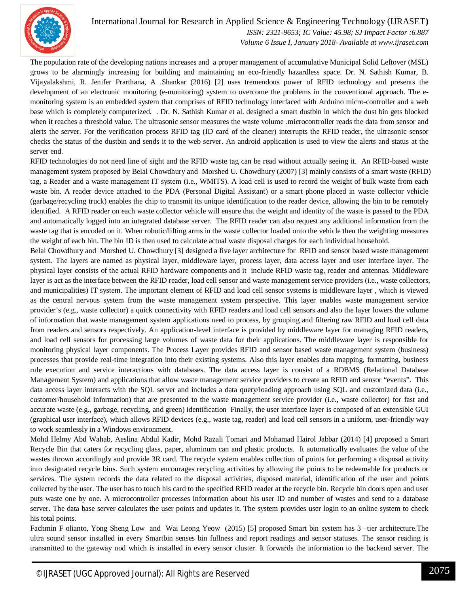

International Journal for Research in Applied Science & Engineering Technology (IJRASET**)**

 *ISSN: 2321-9653; IC Value: 45.98; SJ Impact Factor :6.887 Volume 6 Issue I, January 2018- Available at www.ijraset.com*

The population rate of the developing nations increases and a proper management of accumulative Municipal Solid Leftover (MSL) grows to be alarmingly increasing for building and maintaining an eco-friendly hazardless space. Dr. N. Sathish Kumar, B. Vijayalakshmi, R. Jenifer Prarthana, A .Shankar (2016) [2] uses tremendous power of RFID technology and presents the development of an electronic monitoring (e-monitoring) system to overcome the problems in the conventional approach. The emonitoring system is an embedded system that comprises of RFID technology interfaced with Arduino micro-controller and a web base which is completely computerized. . Dr. N. Sathish Kumar et al. designed a smart dustbin in which the dust bin gets blocked when it reaches a threshold value. The ultrasonic sensor measures the waste volume .microcontroller reads the data from sensor and alerts the server. For the verification process RFID tag (ID card of the cleaner) interrupts the RFID reader, the ultrasonic sensor checks the status of the dustbin and sends it to the web server. An android application is used to view the alerts and status at the server end.

RFID technologies do not need line of sight and the RFID waste tag can be read without actually seeing it. An RFID-based waste management system proposed by Belal Chowdhury and Morshed U. Chowdhury (2007) [3] mainly consists of a smart waste (RFID) tag, a Reader and a waste management IT system (i.e., WMITS). A load cell is used to record the weight of bulk waste from each waste bin. A reader device attached to the PDA (Personal Digital Assistant) or a smart phone placed in waste collector vehicle (garbage/recycling truck) enables the chip to transmit its unique identification to the reader device, allowing the bin to be remotely identified. A RFID reader on each waste collector vehicle will ensure that the weight and identity of the waste is passed to the PDA and automatically logged into an integrated database server. The RFID reader can also request any additional information from the waste tag that is encoded on it. When robotic/lifting arms in the waste collector loaded onto the vehicle then the weighting measures the weight of each bin. The bin ID is then used to calculate actual waste disposal charges for each individual household.

Belal Chowdhury and Morshed U. Chowdhury [3] designed a five layer architecture for RFID and sensor based waste management system. The layers are named as physical layer, middleware layer, process layer, data access layer and user interface layer. The physical layer consists of the actual RFID hardware components and it include RFID waste tag, reader and antennas. Middleware layer is act as the interface between the RFID reader, load cell sensor and waste management service providers (i.e., waste collectors, and municipalities) IT system. The important element of RFID and load cell sensor systems is middleware layer , which is viewed as the central nervous system from the waste management system perspective. This layer enables waste management service provider's (e.g., waste collector) a quick connectivity with RFID readers and load cell sensors and also the layer lowers the volume of information that waste management system applications need to process, by grouping and filtering raw RFID and load cell data from readers and sensors respectively. An application-level interface is provided by middleware layer for managing RFID readers, and load cell sensors for processing large volumes of waste data for their applications. The middleware layer is responsible for monitoring physical layer components. The Process Layer provides RFID and sensor based waste management system (business) processes that provide real-time integration into their existing systems. Also this layer enables data mapping, formatting, business rule execution and service interactions with databases. The data access layer is consist of a RDBMS (Relational Database Management System) and applications that allow waste management service providers to create an RFID and sensor "events". This data access layer interacts with the SQL server and includes a data query/loading approach using SQL and customized data (i.e., customer/household information) that are presented to the waste management service provider (i.e., waste collector) for fast and accurate waste (e.g., garbage, recycling, and green) identification Finally, the user interface layer is composed of an extensible GUI (graphical user interface), which allows RFID devices (e.g., waste tag, reader) and load cell sensors in a uniform, user-friendly way to work seamlessly in a Windows environment.

Mohd Helmy Abd Wahab, Aeslina Abdul Kadir, Mohd Razali Tomari and Mohamad Hairol Jabbar (2014) [4] proposed a Smart Recycle Bin that caters for recycling glass, paper, aluminum can and plastic products. It automatically evaluates the value of the wastes thrown accordingly and provide 3R card. The recycle system enables collection of points for performing a disposal activity into designated recycle bins. Such system encourages recycling activities by allowing the points to be redeemable for products or services. The system records the data related to the disposal activities, disposed material, identification of the user and points collected by the user. The user has to touch his card to the specified RFID reader at the recycle bin. Recycle bin doors open and user puts waste one by one. A microcontroller processes information about his user ID and number of wastes and send to a database server. The data base server calculates the user points and updates it. The system provides user login to an online system to check his total points.

Fachmin F olianto, Yong Sheng Low and Wai Leong Yeow (2015) [5] proposed Smart bin system has 3 –tier architecture.The ultra sound sensor installed in every Smartbin senses bin fullness and report readings and sensor statuses. The sensor reading is transmitted to the gateway nod which is installed in every sensor cluster. It forwards the information to the backend server. The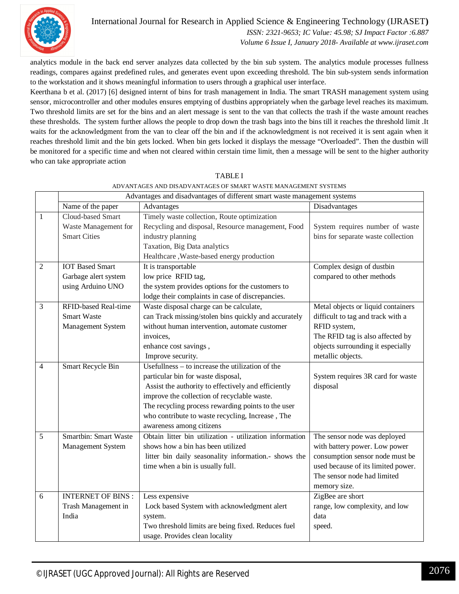

International Journal for Research in Applied Science & Engineering Technology (IJRASET**)**

 *ISSN: 2321-9653; IC Value: 45.98; SJ Impact Factor :6.887*

 *Volume 6 Issue I, January 2018- Available at www.ijraset.com*

analytics module in the back end server analyzes data collected by the bin sub system. The analytics module processes fullness readings, compares against predefined rules, and generates event upon exceeding threshold. The bin sub-system sends information to the workstation and it shows meaningful information to users through a graphical user interface.

Keerthana b et al. (2017) [6] designed internt of bins for trash management in India. The smart TRASH management system using sensor, microcontroller and other modules ensures emptying of dustbins appropriately when the garbage level reaches its maximum. Two threshold limits are set for the bins and an alert message is sent to the van that collects the trash if the waste amount reaches these thresholds. The system further allows the people to drop down the trash bags into the bins till it reaches the threshold limit .It waits for the acknowledgment from the van to clear off the bin and if the acknowledgment is not received it is sent again when it reaches threshold limit and the bin gets locked. When bin gets locked it displays the message "Overloaded". Then the dustbin will be monitored for a specific time and when not cleared within cerstain time limit, then a message will be sent to the higher authority who can take appropriate action

|                | Advantages and disadvantages of different smart waste management systems |                                                         |                                    |
|----------------|--------------------------------------------------------------------------|---------------------------------------------------------|------------------------------------|
|                | Name of the paper                                                        | Advantages                                              | Disadvantages                      |
| $\mathbf{1}$   | Cloud-based Smart                                                        | Timely waste collection, Route optimization             |                                    |
|                | Waste Management for                                                     | Recycling and disposal, Resource management, Food       | System requires number of waste    |
|                | <b>Smart Cities</b>                                                      | industry planning                                       | bins for separate waste collection |
|                |                                                                          | Taxation, Big Data analytics                            |                                    |
|                |                                                                          | Healthcare, Waste-based energy production               |                                    |
| $\overline{2}$ | <b>IOT</b> Based Smart                                                   | It is transportable                                     | Complex design of dustbin          |
|                | Garbage alert system                                                     | low price RFID tag,                                     | compared to other methods          |
|                | using Arduino UNO                                                        | the system provides options for the customers to        |                                    |
|                |                                                                          | lodge their complaints in case of discrepancies.        |                                    |
| $\overline{3}$ | <b>RFID-based Real-time</b>                                              | Waste disposal charge can be calculate,                 | Metal objects or liquid containers |
|                | <b>Smart Waste</b>                                                       | can Track missing/stolen bins quickly and accurately    | difficult to tag and track with a  |
|                | Management System                                                        | without human intervention, automate customer           | RFID system,                       |
|                |                                                                          | invoices,                                               | The RFID tag is also affected by   |
|                |                                                                          | enhance cost savings,                                   | objects surrounding it especially  |
|                |                                                                          | Improve security.                                       | metallic objects.                  |
| $\overline{4}$ | Smart Recycle Bin                                                        | Usefullness $-$ to increase the utilization of the      |                                    |
|                |                                                                          | particular bin for waste disposal,                      | System requires 3R card for waste  |
|                |                                                                          | Assist the authority to effectively and efficiently     | disposal                           |
|                |                                                                          | improve the collection of recyclable waste.             |                                    |
|                |                                                                          | The recycling process rewarding points to the user      |                                    |
|                |                                                                          | who contribute to waste recycling, Increase, The        |                                    |
|                |                                                                          | awareness among citizens                                |                                    |
| $\overline{5}$ | <b>Smartbin: Smart Waste</b>                                             | Obtain litter bin utilization - utilization information | The sensor node was deployed       |
|                | Management System                                                        | shows how a bin has been utilized                       | with battery power. Low power      |
|                |                                                                          | litter bin daily seasonality information.- shows the    | consumption sensor node must be    |
|                |                                                                          | time when a bin is usually full.                        | used because of its limited power. |
|                |                                                                          |                                                         | The sensor node had limited        |
|                |                                                                          |                                                         | memory size.                       |
| 6              | <b>INTERNET OF BINS:</b>                                                 | Less expensive                                          | ZigBee are short                   |
|                | Trash Management in                                                      | Lock based System with acknowledgment alert             | range, low complexity, and low     |
|                | India                                                                    | system.                                                 | data                               |
|                |                                                                          | Two threshold limits are being fixed. Reduces fuel      | speed.                             |
|                |                                                                          | usage. Provides clean locality                          |                                    |

TABLE I ADVANTAGES AND DISADVANTAGES OF SMART WASTE MANAGEMENT SYSTEMS